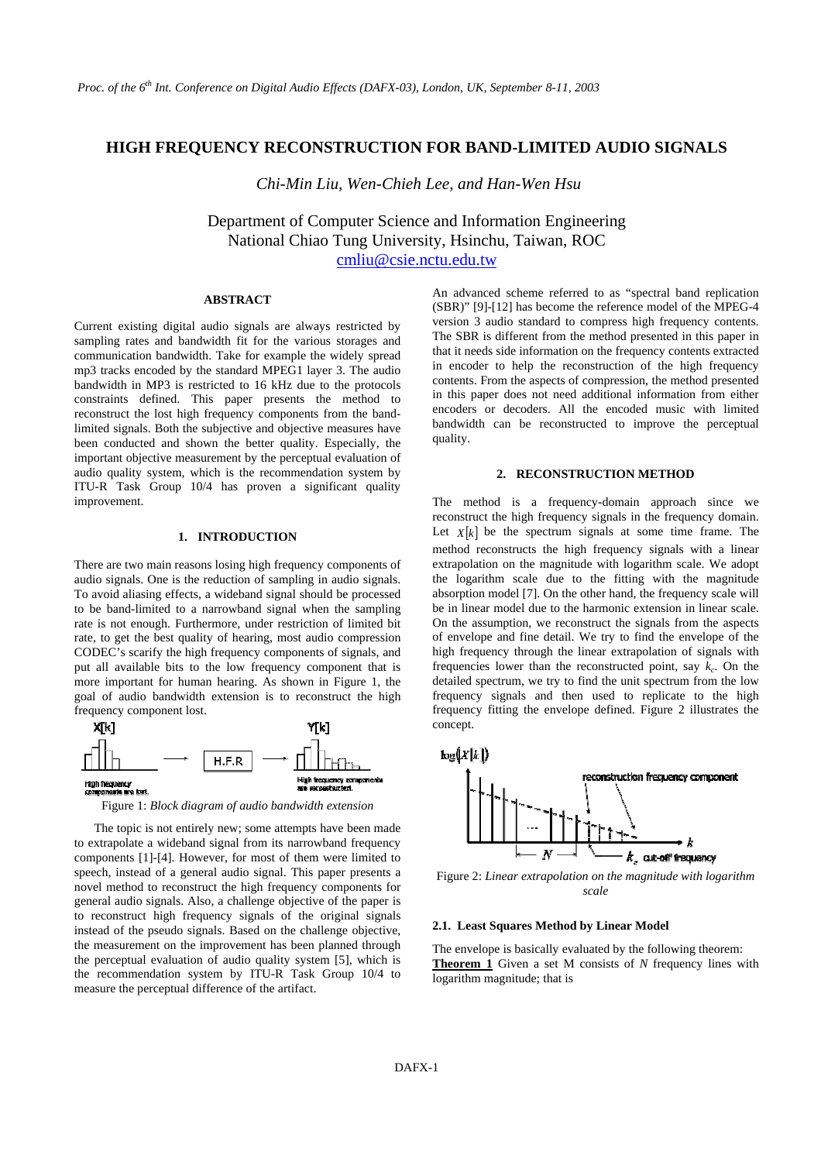## **HIGH FREQUENCY RECONSTRUCTION FOR BAND-LIMITED AUDIO SIGNALS**

 *Chi-Min Liu, Wen-Chieh Lee, and Han-Wen Hsu* 

Department of Computer Science and Information Engineering National Chiao Tung University, Hsinchu, Taiwan, ROC cmliu@csie.nctu.edu.tw

## **ABSTRACT**

Current existing digital audio signals are always restricted by sampling rates and bandwidth fit for the various storages and communication bandwidth. Take for example the widely spread mp3 tracks encoded by the standard MPEG1 layer 3. The audio bandwidth in MP3 is restricted to 16 kHz due to the protocols constraints defined. This paper presents the method to reconstruct the lost high frequency components from the bandlimited signals. Both the subjective and objective measures have been conducted and shown the better quality. Especially, the important objective measurement by the perceptual evaluation of audio quality system, which is the recommendation system by ITU-R Task Group 10/4 has proven a significant quality improvement.

### **1. INTRODUCTION**

There are two main reasons losing high frequency components of audio signals. One is the reduction of sampling in audio signals. To avoid aliasing effects, a wideband signal should be processed to be band-limited to a narrowband signal when the sampling rate is not enough. Furthermore, under restriction of limited bit rate, to get the best quality of hearing, most audio compression CODEC's scarify the high frequency components of signals, and put all available bits to the low frequency component that is more important for human hearing. As shown in Figure 1, the goal of audio bandwidth extension is to reconstruct the high frequency component lost.



Figure 1: *Block diagram of audio bandwidth extension*

The topic is not entirely new; some attempts have been made to extrapolate a wideband signal from its narrowband frequency components [1]-[4]. However, for most of them were limited to speech, instead of a general audio signal. This paper presents a novel method to reconstruct the high frequency components for general audio signals. Also, a challenge objective of the paper is to reconstruct high frequency signals of the original signals instead of the pseudo signals. Based on the challenge objective, the measurement on the improvement has been planned through the perceptual evaluation of audio quality system [5], which is the recommendation system by ITU-R Task Group 10/4 to measure the perceptual difference of the artifact.

An advanced scheme referred to as "spectral band replication (SBR)" [9]-[12] has become the reference model of the MPEG-4 version 3 audio standard to compress high frequency contents. The SBR is different from the method presented in this paper in that it needs side information on the frequency contents extracted in encoder to help the reconstruction of the high frequency contents. From the aspects of compression, the method presented in this paper does not need additional information from either encoders or decoders. All the encoded music with limited bandwidth can be reconstructed to improve the perceptual quality.

#### **2. RECONSTRUCTION METHOD**

The method is a frequency-domain approach since we reconstruct the high frequency signals in the frequency domain. Let  $X[k]$  be the spectrum signals at some time frame. The method reconstructs the high frequency signals with a linear extrapolation on the magnitude with logarithm scale. We adopt the logarithm scale due to the fitting with the magnitude absorption model [7]. On the other hand, the frequency scale will be in linear model due to the harmonic extension in linear scale. On the assumption, we reconstruct the signals from the aspects of envelope and fine detail. We try to find the envelope of the high frequency through the linear extrapolation of signals with frequencies lower than the reconstructed point, say  $k_c$ . On the detailed spectrum, we try to find the unit spectrum from the low frequency signals and then used to replicate to the high frequency fitting the envelope defined. Figure 2 illustrates the concept.



Figure 2: *Linear extrapolation on the magnitude with logarithm scale* 

### **2.1. Least Squares Method by Linear Model**

The envelope is basically evaluated by the following theorem: **Theorem 1** Given a set M consists of *N* frequency lines with logarithm magnitude; that is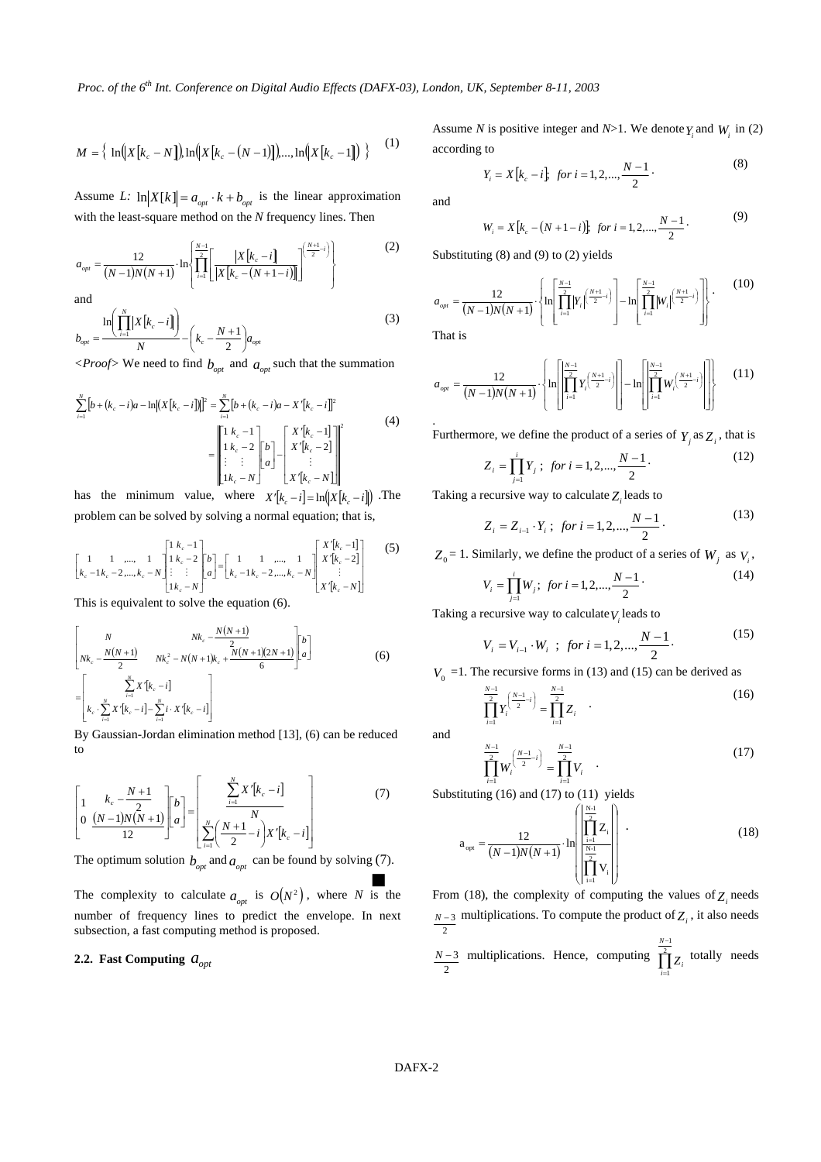$$
M = \left\{ \ln\left(|X[k_c - N]\right) \ln\left(|X[k_c - (N-1)]\right), ..., \ln\left(|X[k_c - 1]\right) \right\} \tag{1}
$$

Assume *L*:  $\ln |X[k]| = a_{opt} \cdot k + b_{opt}$  is the linear approximation with the least-square method on the *N* frequency lines. Then

$$
a_{opt} = \frac{12}{(N-1)N(N+1)} \cdot \ln \left\{ \prod_{i=1}^{N-1} \left[ \frac{|X[k_c - i]}{|X[k_c - (N+1-i)]|} \right]^{\left(\frac{N+1}{2} - i\right)} \right\}
$$
(2)  
and

$$
b_{opt} = \frac{\ln\left(\prod_{i=1}^{N} |X[k_c - i]\right)}{N} - \left(k_c - \frac{N+1}{2}\right) a_{opt}
$$
 (3)

 $\langle Proof \rangle$  We need to find  $b_{opt}$  and  $a_{opt}$  such that the summation

$$
\sum_{i=1}^{N} [b + (k_c - i)a - \ln[(X[k_c - i)])]^2 = \sum_{i=1}^{N} [b + (k_c - i)a - X'[k_c - i]]^2
$$
\n
$$
= \begin{bmatrix} 1 & k_c - 1 \\ 1 & k_c - 2 \\ \vdots & \vdots \\ 1 & k_c - N \end{bmatrix} \begin{bmatrix} 1 & X'[k_c - 1] \\ 0 & X'[k_c - 2] \\ \vdots & \vdots \\ X'[k_c - N] \end{bmatrix}^2
$$
\n(4)

has the minimum value, where  $X'[k] - i] = \ln(|X[k] - i])$ . The problem can be solved by solving a normal equation; that is,

$$
\begin{bmatrix} 1 & 1 & \dots, & 1 \\ k_c - 1k_c - 2, & \dots, & k_c - N \end{bmatrix} \begin{bmatrix} 1 & k_c - 1 \\ 1 & k_c - 2 \\ \vdots & \vdots \\ 1 & k_c - N \end{bmatrix} = \begin{bmatrix} 1 & 1 & \dots, & 1 \\ k_c - 1k_c - 2, & \dots, & k_c - N \end{bmatrix} \begin{bmatrix} X'[k_c - 1] \\ X'[k_c - 2] \\ \vdots \\ X'[k_c - N] \end{bmatrix}
$$
 (5)

This is equivalent to solve the equation (6).

$$
\begin{bmatrix}\nN & Nk_c - \frac{N(N+1)}{2} \\
Nk_c - \frac{N(N+1)}{2} & Nk_c^2 - N(N+1)k_c + \frac{N(N+1)(2N+1)}{6} \begin{bmatrix} b \\ a \end{bmatrix} \\
= \begin{bmatrix}\n\sum_{i=1}^{N} X'[k_c - i] \\
k_c \cdot \sum_{i=1}^{N} X'[k_c - i] - \sum_{i=1}^{N} i \cdot X'[k_c - i]\n\end{bmatrix}
$$
\n(6)

By Gaussian-Jordan elimination method [13], (6) can be reduced to

$$
\left[1 - \frac{k_c - \frac{N+1}{2}}{12}\right] \left[b\right] = \left[b\right] \left[\frac{\sum_{i=1}^{N} X'[k_c - i]}{N}\right] \tag{7}
$$

The optimum solution  $b_{opt}$  and  $a_{opt}$  can be found by solving (7). J

The complexity to calculate  $a_{opt}$  is  $O(N^2)$ , where *N* is the number of frequency lines to predict the envelope. In next subsection, a fast computing method is proposed.

# **2.2. Fast Computing**  $a_{opt}$

Assume *N* is positive integer and *N*>1. We denote  $Y_i$  and  $W_i$  in (2) according to

$$
Y_i = X[k_c - i], \text{ for } i = 1, 2, \dots, \frac{N-1}{2}.
$$
 (8)

and

$$
W_i = X[k_c - (N + 1 - i)]
$$
 for  $i = 1, 2, ..., \frac{N - 1}{2}$ . (9)

Substituting (8) and (9) to (2) yields

$$
a_{opt} = \frac{12}{(N-1)N(N+1)} \cdot \left\{ \ln \left[ \prod_{i=1}^{\frac{N-1}{2}} |Y_i|^{\left(\frac{N+1}{2} - i\right)} \right] - \ln \left[ \prod_{i=1}^{\frac{N-1}{2}} |W_i|^{\left(\frac{N+1}{2} - i\right)} \right] \right\} \cdot \tag{10}
$$

That is

$$
a_{opt} = \frac{12}{(N-1)N(N+1)} \cdot \left\{ \ln \left[ \left| \prod_{i=1}^{N-1} Y_i \left( \frac{N+1}{2} - i \right) \right| \right] - \ln \left[ \left| \prod_{i=1}^{N-1} W_i \left( \frac{N+1}{2} - i \right) \right| \right] \right\}
$$
(11)

Furthermore, we define the product of a series of  $Y_j$  as  $Z_i$ , that is

$$
Z_i = \prod_{j=1}^{i} Y_j ; \text{ for } i = 1, 2, \dots, \frac{N-1}{2}.
$$
 (12)

Taking a recursive way to calculate  $Z_i$  leads to

$$
Z_i = Z_{i-1} \cdot Y_i \; ; \; \text{ for } i = 1, 2, \dots, \frac{N-1}{2} \, . \tag{13}
$$

 $Z_0 = 1$ . Similarly, we define the product of a series of  $W_j$  as  $V_i$ ,

$$
V_i = \prod_{j=1}^{i} W_j; \text{ for } i = 1, 2, \dots, \frac{N-1}{2} \tag{14}
$$

Taking a recursive way to calculate  $V_i$  leads to

$$
V_i = V_{i-1} \cdot W_i \quad ; \quad \text{for } i = 1, 2, \dots, \frac{N-1}{2} \tag{15}
$$

 $V<sub>0</sub> =1$ . The recursive forms in (13) and (15) can be derived as

$$
\sum_{i=1}^{N-1} Y_i^{\left(\frac{N-1}{2} - i\right)} = \sum_{i=1}^{N-1} Z_i \quad . \tag{16}
$$

and

Substituting (16) and (17) to (11) yields  
\n
$$
\prod_{i=1}^{N-1} W_i^{\left(\frac{N-1}{2}i\right)} = \prod_{i=1}^{N-1} V_i
$$
\n
$$
\text{Substituting (16) and (17) to (11) yields} \tag{17}
$$

$$
a_{opt} = \frac{12}{(N-1)N(N+1)} \cdot \ln \left( \frac{\left| \prod_{i=1}^{N-1} Z_i \right|}{\left| \prod_{i=1}^{N-1} V_i \right|} \right) \tag{18}
$$

From (18), the complexity of computing the values of  $Z_i$  needs 2 *N* − 3 multiplications. To compute the product of  $Z_i$ , it also needs

$$
\frac{N-3}{2}
$$
 multiplications. Hence, computing  $\prod_{i=1}^{N-1} Z_i$  totally needs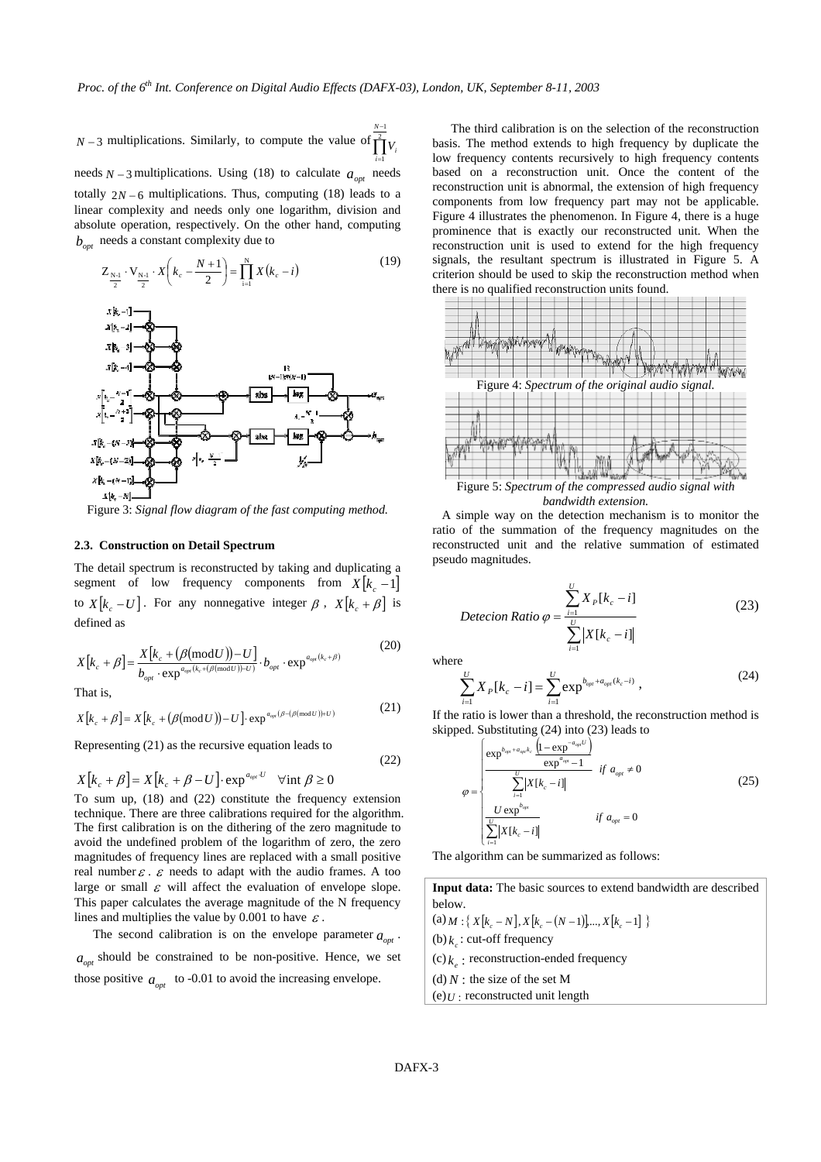*N* − 3 multiplications. Similarly, to compute the value of  $\prod_{i=1}^{2} V_i$ − = 1 1 *N i* needs  $N-3$  multiplications. Using (18) to calculate  $a_{opt}$  needs totally  $2N - 6$  multiplications. Thus, computing (18) leads to a linear complexity and needs only one logarithm, division and absolute operation, respectively. On the other hand, computing  $b_{\text{opt}}$  needs a constant complexity due to

$$
Z_{\frac{N+1}{2}} \cdot V_{\frac{N+1}{2}} \cdot X\left(k_c - \frac{N+1}{2}\right) = \prod_{i=1}^{N} X(k_c - i)
$$
 (19)



Figure 3: *Signal flow diagram of the fast computing method.*

### **2.3. Construction on Detail Spectrum**

The detail spectrum is reconstructed by taking and duplicating a segment of low frequency components from  $X[k_c -1]$ to  $X[k_c - U]$ . For any nonnegative integer  $\beta$ ,  $X[k_c + \beta]$  is defined as

$$
X[k_c + \beta] = \frac{X[k_c + (\beta(\text{mod}U)) - U]}{b_{opt} \cdot \exp^{a_{opt}(k_c + (\beta(\text{mod}U)) - U)}} \cdot b_{opt} \cdot \exp^{a_{opt}(k_c + \beta)}
$$
(20)

$$
X[k_c + \beta] = X[k_c + (\beta(\text{mod } U)) - U] \cdot \exp^{a_{opt}(\beta - (\beta(\text{mod } U)) + U)} \tag{21}
$$

Representing (21) as the recursive equation leads to

$$
X[k_c + \beta] = X[k_c + \beta - U] \cdot \exp^{a_{opt}U} \quad \forall \text{int } \beta \ge 0
$$

To sum up, (18) and (22) constitute the frequency extension technique. There are three calibrations required for the algorithm. The first calibration is on the dithering of the zero magnitude to avoid the undefined problem of the logarithm of zero, the zero magnitudes of frequency lines are replaced with a small positive real number  $\varepsilon$ .  $\varepsilon$  needs to adapt with the audio frames. A too large or small  $\varepsilon$  will affect the evaluation of envelope slope. This paper calculates the average magnitude of the N frequency lines and multiplies the value by 0.001 to have  $\varepsilon$ .

The second calibration is on the envelope parameter  $a_{\text{out}}$ .  $a_{opt}$  should be constrained to be non-positive. Hence, we set those positive  $a_{opt}$  to -0.01 to avoid the increasing envelope.

The third calibration is on the selection of the reconstruction basis. The method extends to high frequency by duplicate the low frequency contents recursively to high frequency contents based on a reconstruction unit. Once the content of the reconstruction unit is abnormal, the extension of high frequency components from low frequency part may not be applicable. Figure 4 illustrates the phenomenon. In Figure 4, there is a huge prominence that is exactly our reconstructed unit. When the reconstruction unit is used to extend for the high frequency signals, the resultant spectrum is illustrated in Figure 5. A criterion should be used to skip the reconstruction method when there is no qualified reconstruction units found.



*bandwidth extension.* 

 A simple way on the detection mechanism is to monitor the ratio of the summation of the frequency magnitudes on the reconstructed unit and the relative summation of estimated pseudo magnitudes.

$$
Detection Ratio \varphi = \frac{\sum_{i=1}^{U} X_{P}[k_{c} - i]}{\sum_{i=1}^{U} |X[k_{c} - i]|}
$$
\n(23)

where

(22)

$$
\sum_{i=1}^{U} X_{P}[k_{c} - i] = \sum_{i=1}^{U} \exp^{b_{opt} + a_{opt}(k_{c} - i)}, \qquad (24)
$$

If the ratio is lower than a threshold, the reconstruction method is skipped. Substituting (24) into (23) leads to

$$
\varphi = \begin{cases}\n\frac{\exp^{b_{\varphi\mu} + a_{\varphi\mu}k_c} \frac{(1 - \exp^{-a_{\varphi\mu}U})}{\exp^{a_{\varphi\mu}} - 1} & \text{if } a_{\varphi\mu} \neq 0 \\
\frac{\sum_{i=1}^{U} |X[k_c - i]|}{\exp^{b_{\varphi\mu}}} & \text{if } a_{\varphi\mu} = 0\n\end{cases}
$$
\n(25)

The algorithm can be summarized as follows:

**Input data:** The basic sources to extend bandwidth are described below.  $((a) M : \{ X[k_c - N], X[k_c - (N-1)], ..., X[k_c -1] \}$ (b)  $k_c$  : cut-off frequency  $(c) k$ : reconstruction-ended frequency  $(d) N$  : the size of the set M  $(e)U$ : reconstructed unit length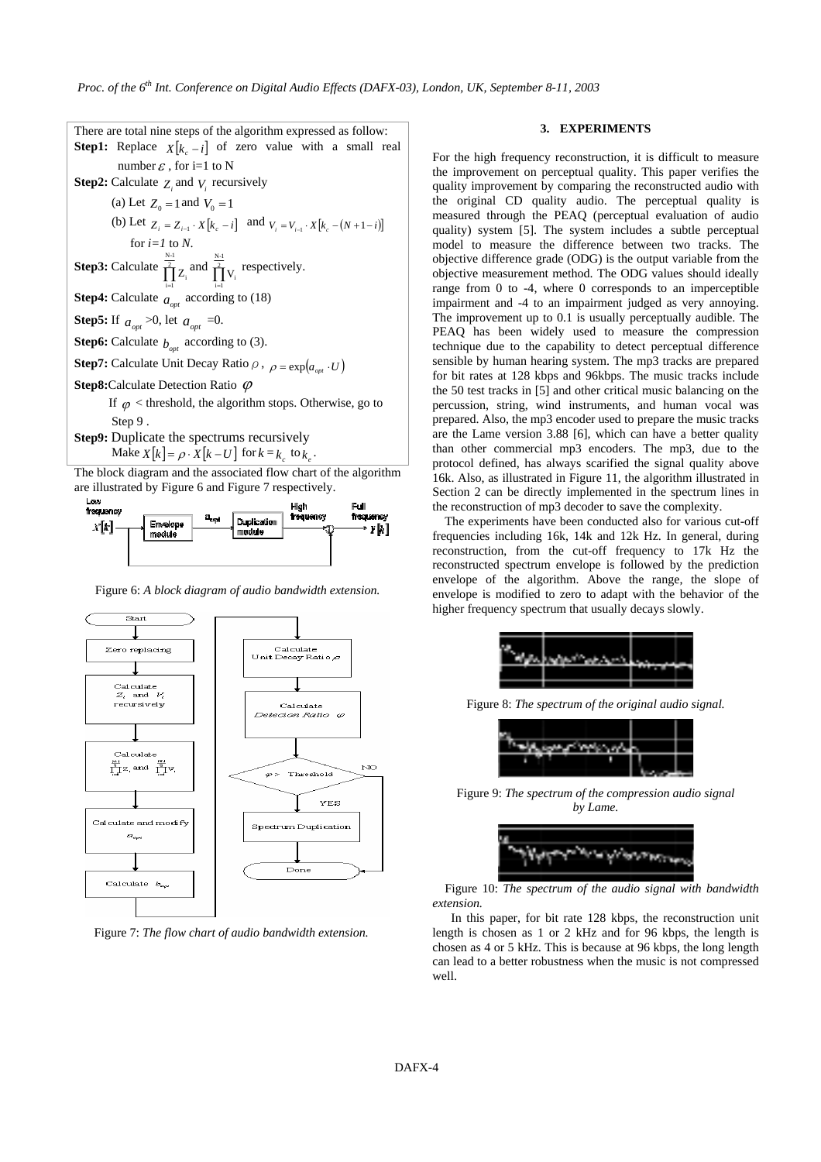There are total nine steps of the algorithm expressed as follow: **Step1:** Replace  $X[k] = i$  of zero value with a small real number  $\varepsilon$ , for i=1 to N **Step2:** Calculate  $Z_i$  and  $V_i$  recursively (a) Let  $Z_0 = 1$  and  $V_0 = 1$ (b) Let  $Z_i = Z_{i-1} \cdot X[k_c - i]$  and  $V_i = V_{i-1} \cdot X[k_c - (N+1-i)]$ for *i=1* to *N*. **Step3:** Calculate  $\prod_{i=1}^{\frac{N-1}{2}}$  $\prod_{i=1}^{N-1} Z_i$  and  $\prod_{i=1}^{\frac{N-1}{2}}$  $\prod_{i=1}^{2} V_i$  respectively. **Step4:** Calculate  $a_{opt}$  according to (18) **Step5:** If  $a_{opt} > 0$ , let  $a_{opt} = 0$ . **Step6:** Calculate  $b_{\text{opt}}$  according to (3). **Step7:** Calculate Unit Decay Ratio  $\rho$ ,  $\rho = \exp(a_{\rho \nu} \cdot U)$ **Step8:**Calculate Detection Ratio  $φ$ If  $\varphi$  < threshold, the algorithm stops. Otherwise, go to Step 9 . **Step9:** Duplicate the spectrums recursively Make  $X[k] = \rho \cdot X[k-U]$  for  $k = k_c$  to  $k_c$ . The block diagram and the associated flow chart of the algorithm are illustrated by Figure 6 and Figure 7 respectively.



Figure 6: *A block diagram of audio bandwidth extension.* 



Figure 7: *The flow chart of audio bandwidth extension.* 

## **3. EXPERIMENTS**

For the high frequency reconstruction, it is difficult to measure the improvement on perceptual quality. This paper verifies the quality improvement by comparing the reconstructed audio with the original CD quality audio. The perceptual quality is measured through the PEAQ (perceptual evaluation of audio quality) system [5]. The system includes a subtle perceptual model to measure the difference between two tracks. The objective difference grade (ODG) is the output variable from the objective measurement method. The ODG values should ideally range from 0 to -4, where 0 corresponds to an imperceptible impairment and -4 to an impairment judged as very annoying. The improvement up to 0.1 is usually perceptually audible. The PEAQ has been widely used to measure the compression technique due to the capability to detect perceptual difference sensible by human hearing system. The mp3 tracks are prepared for bit rates at 128 kbps and 96kbps. The music tracks include the 50 test tracks in [5] and other critical music balancing on the percussion, string, wind instruments, and human vocal was prepared. Also, the mp3 encoder used to prepare the music tracks are the Lame version 3.88 [6], which can have a better quality than other commercial mp3 encoders. The mp3, due to the protocol defined, has always scarified the signal quality above 16k. Also, as illustrated in Figure 11, the algorithm illustrated in Section 2 can be directly implemented in the spectrum lines in the reconstruction of mp3 decoder to save the complexity.

The experiments have been conducted also for various cut-off frequencies including 16k, 14k and 12k Hz. In general, during reconstruction, from the cut-off frequency to 17k Hz the reconstructed spectrum envelope is followed by the prediction envelope of the algorithm. Above the range, the slope of envelope is modified to zero to adapt with the behavior of the higher frequency spectrum that usually decays slowly.



Figure 8: *The spectrum of the original audio signal.* 



Figure 9: *The spectrum of the compression audio signal by Lame.* 



Figure 10: *The spectrum of the audio signal with bandwidth extension.*

In this paper, for bit rate 128 kbps, the reconstruction unit length is chosen as 1 or 2 kHz and for 96 kbps, the length is chosen as 4 or 5 kHz. This is because at 96 kbps, the long length can lead to a better robustness when the music is not compressed well.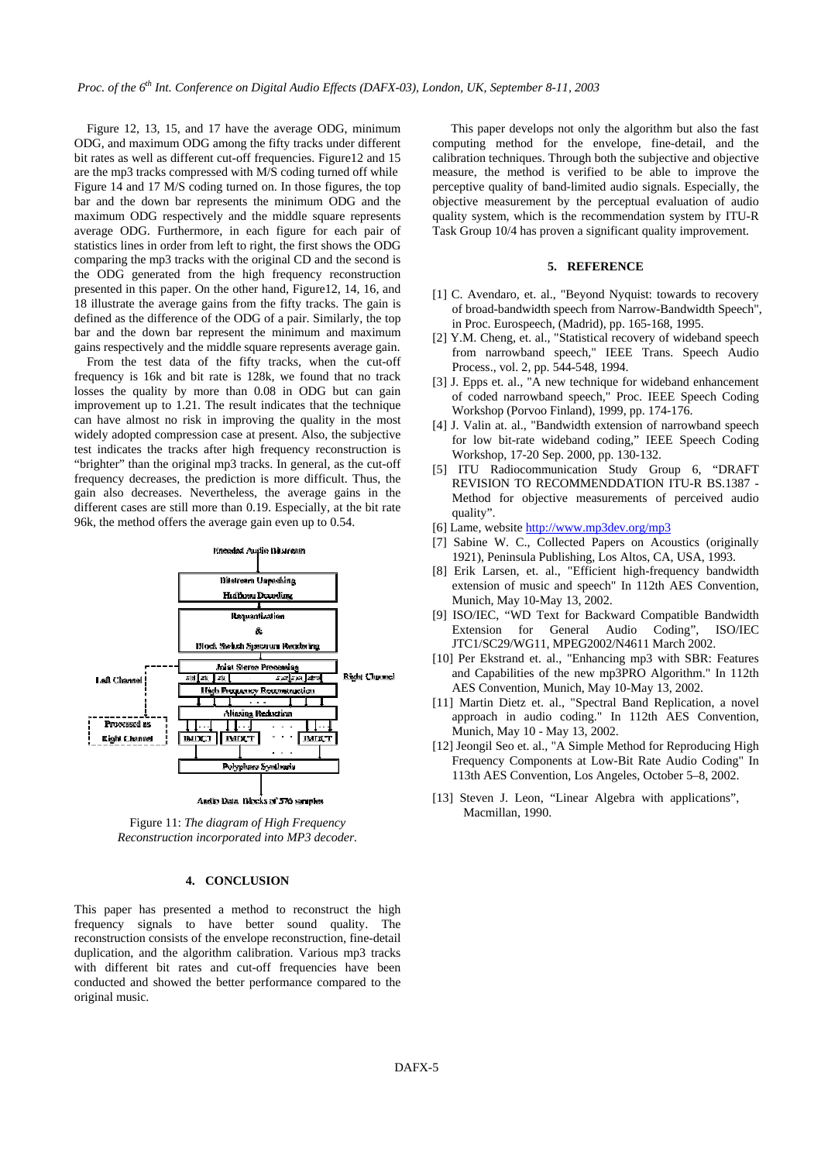Figure 12, 13, 15, and 17 have the average ODG, minimum ODG, and maximum ODG among the fifty tracks under different bit rates as well as different cut-off frequencies. Figure12 and 15 are the mp3 tracks compressed with M/S coding turned off while Figure 14 and 17 M/S coding turned on. In those figures, the top bar and the down bar represents the minimum ODG and the maximum ODG respectively and the middle square represents average ODG. Furthermore, in each figure for each pair of statistics lines in order from left to right, the first shows the ODG comparing the mp3 tracks with the original CD and the second is the ODG generated from the high frequency reconstruction presented in this paper. On the other hand, Figure12, 14, 16, and 18 illustrate the average gains from the fifty tracks. The gain is defined as the difference of the ODG of a pair. Similarly, the top bar and the down bar represent the minimum and maximum gains respectively and the middle square represents average gain.

From the test data of the fifty tracks, when the cut-off frequency is 16k and bit rate is 128k, we found that no track losses the quality by more than 0.08 in ODG but can gain improvement up to 1.21. The result indicates that the technique can have almost no risk in improving the quality in the most widely adopted compression case at present. Also, the subjective test indicates the tracks after high frequency reconstruction is "brighter" than the original mp3 tracks. In general, as the cut-off frequency decreases, the prediction is more difficult. Thus, the gain also decreases. Nevertheless, the average gains in the different cases are still more than 0.19. Especially, at the bit rate 96k, the method offers the average gain even up to 0.54.



Audio Data Blocks of 576 samples

Figure 11: *The diagram of High Frequency Reconstruction incorporated into MP3 decoder.*

## **4. CONCLUSION**

This paper has presented a method to reconstruct the high frequency signals to have better sound quality. The reconstruction consists of the envelope reconstruction, fine-detail duplication, and the algorithm calibration. Various mp3 tracks with different bit rates and cut-off frequencies have been conducted and showed the better performance compared to the original music.

This paper develops not only the algorithm but also the fast computing method for the envelope, fine-detail, and the calibration techniques. Through both the subjective and objective measure, the method is verified to be able to improve the perceptive quality of band-limited audio signals. Especially, the objective measurement by the perceptual evaluation of audio quality system, which is the recommendation system by ITU-R Task Group 10/4 has proven a significant quality improvement.

#### **5. REFERENCE**

- [1] C. Avendaro, et. al., "Beyond Nyquist: towards to recovery of broad-bandwidth speech from Narrow-Bandwidth Speech", in Proc. Eurospeech, (Madrid), pp. 165-168, 1995.
- [2] Y.M. Cheng, et. al., "Statistical recovery of wideband speech from narrowband speech," IEEE Trans. Speech Audio Process., vol. 2, pp. 544-548, 1994.
- [3] J. Epps et. al., "A new technique for wideband enhancement of coded narrowband speech," Proc. IEEE Speech Coding Workshop (Porvoo Finland), 1999, pp. 174-176.
- [4] J. Valin at. al., "Bandwidth extension of narrowband speech for low bit-rate wideband coding," IEEE Speech Coding Workshop, 17-20 Sep. 2000, pp. 130-132.
- [5] ITU Radiocommunication Study Group 6, "DRAFT REVISION TO RECOMMENDDATION ITU-R BS.1387 - Method for objective measurements of perceived audio quality".
- [6] Lame, website http://www.mp3dev.org/mp3
- [7] Sabine W. C., Collected Papers on Acoustics (originally 1921), Peninsula Publishing, Los Altos, CA, USA, 1993.
- [8] Erik Larsen, et. al., "Efficient high-frequency bandwidth extension of music and speech" In 112th AES Convention, Munich, May 10-May 13, 2002.
- [9] ISO/IEC, "WD Text for Backward Compatible Bandwidth Extension for General Audio Coding", ISO/IEC JTC1/SC29/WG11, MPEG2002/N4611 March 2002.
- [10] Per Ekstrand et. al., "Enhancing mp3 with SBR: Features and Capabilities of the new mp3PRO Algorithm." In 112th AES Convention, Munich, May 10-May 13, 2002.
- [11] Martin Dietz et. al., "Spectral Band Replication, a novel approach in audio coding." In 112th AES Convention, Munich, May 10 - May 13, 2002.
- [12] Jeongil Seo et. al., "A Simple Method for Reproducing High Frequency Components at Low-Bit Rate Audio Coding" In 113th AES Convention, Los Angeles, October 5–8, 2002.
- [13] Steven J. Leon, "Linear Algebra with applications", Macmillan, 1990.